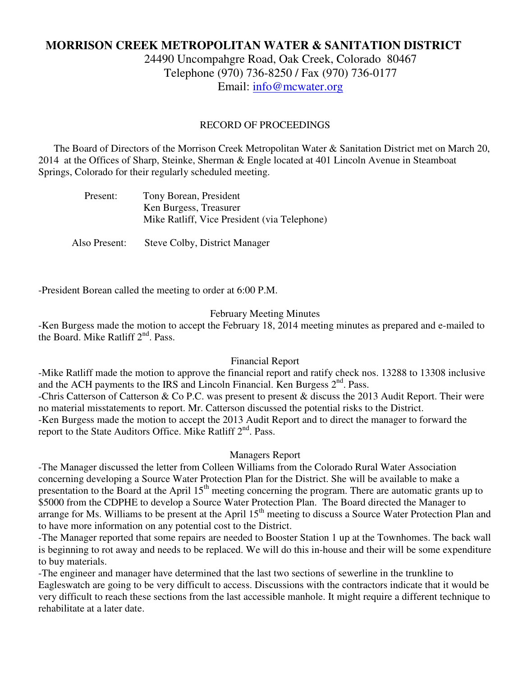# **MORRISON CREEK METROPOLITAN WATER & SANITATION DISTRICT**

24490 Uncompahgre Road, Oak Creek, Colorado 80467 Telephone (970) 736-8250 / Fax (970) 736-0177 Email: info@mcwater.org

#### RECORD OF PROCEEDINGS

 The Board of Directors of the Morrison Creek Metropolitan Water & Sanitation District met on March 20, 2014 at the Offices of Sharp, Steinke, Sherman & Engle located at 401 Lincoln Avenue in Steamboat Springs, Colorado for their regularly scheduled meeting.

| Present: | Tony Borean, President                       |
|----------|----------------------------------------------|
|          | Ken Burgess, Treasurer                       |
|          | Mike Ratliff, Vice President (via Telephone) |
|          |                                              |

Also Present: Steve Colby, District Manager

-President Borean called the meeting to order at 6:00 P.M.

#### February Meeting Minutes

-Ken Burgess made the motion to accept the February 18, 2014 meeting minutes as prepared and e-mailed to the Board. Mike Ratliff  $2<sup>nd</sup>$ . Pass.

### Financial Report

-Mike Ratliff made the motion to approve the financial report and ratify check nos. 13288 to 13308 inclusive and the ACH payments to the IRS and Lincoln Financial. Ken Burgess  $2<sup>nd</sup>$ . Pass. -Chris Catterson of Catterson & Co P.C. was present to present & discuss the 2013 Audit Report. Their were no material misstatements to report. Mr. Catterson discussed the potential risks to the District. -Ken Burgess made the motion to accept the 2013 Audit Report and to direct the manager to forward the report to the State Auditors Office. Mike Ratliff 2<sup>nd</sup>. Pass.

#### Managers Report

-The Manager discussed the letter from Colleen Williams from the Colorado Rural Water Association concerning developing a Source Water Protection Plan for the District. She will be available to make a presentation to the Board at the April 15<sup>th</sup> meeting concerning the program. There are automatic grants up to \$5000 from the CDPHE to develop a Source Water Protection Plan. The Board directed the Manager to arrange for Ms. Williams to be present at the April 15<sup>th</sup> meeting to discuss a Source Water Protection Plan and to have more information on any potential cost to the District.

-The Manager reported that some repairs are needed to Booster Station 1 up at the Townhomes. The back wall is beginning to rot away and needs to be replaced. We will do this in-house and their will be some expenditure to buy materials.

-The engineer and manager have determined that the last two sections of sewerline in the trunkline to Eagleswatch are going to be very difficult to access. Discussions with the contractors indicate that it would be very difficult to reach these sections from the last accessible manhole. It might require a different technique to rehabilitate at a later date.